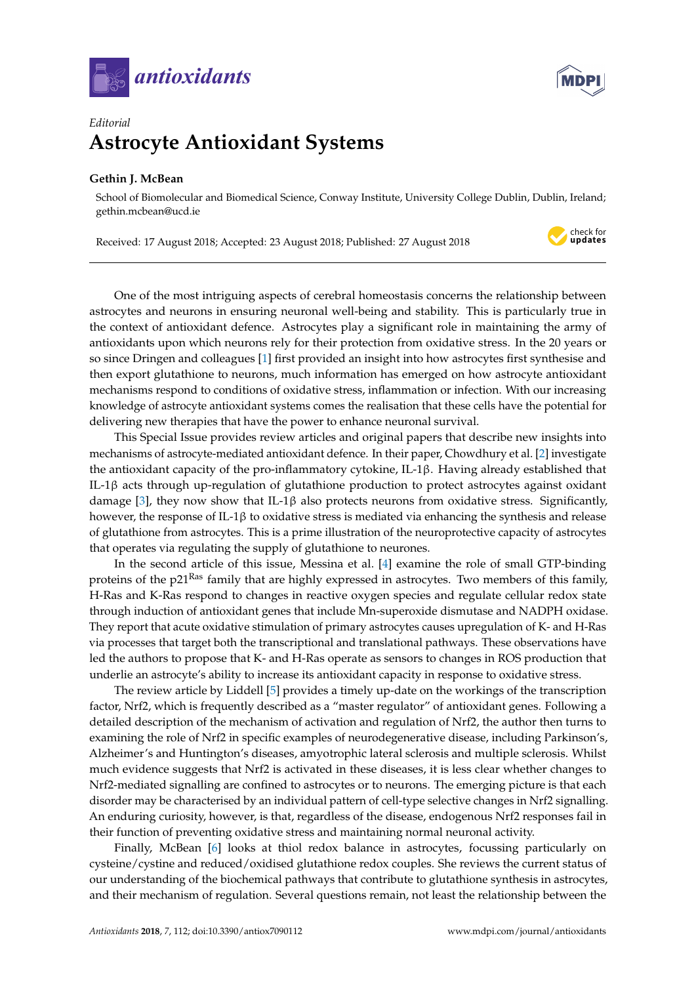



## *Editorial* **Astrocyte Antioxidant Systems**

## **Gethin J. McBean**

School of Biomolecular and Biomedical Science, Conway Institute, University College Dublin, Dublin, Ireland; gethin.mcbean@ucd.ie

Received: 17 August 2018; Accepted: 23 August 2018; Published: 27 August 2018



One of the most intriguing aspects of cerebral homeostasis concerns the relationship between astrocytes and neurons in ensuring neuronal well-being and stability. This is particularly true in the context of antioxidant defence. Astrocytes play a significant role in maintaining the army of antioxidants upon which neurons rely for their protection from oxidative stress. In the 20 years or so since Dringen and colleagues [\[1\]](#page-1-0) first provided an insight into how astrocytes first synthesise and then export glutathione to neurons, much information has emerged on how astrocyte antioxidant mechanisms respond to conditions of oxidative stress, inflammation or infection. With our increasing knowledge of astrocyte antioxidant systems comes the realisation that these cells have the potential for delivering new therapies that have the power to enhance neuronal survival.

This Special Issue provides review articles and original papers that describe new insights into mechanisms of astrocyte-mediated antioxidant defence. In their paper, Chowdhury et al. [\[2\]](#page-1-1) investigate the antioxidant capacity of the pro-inflammatory cytokine, IL-1β. Having already established that IL-1β acts through up-regulation of glutathione production to protect astrocytes against oxidant damage [\[3\]](#page-1-2), they now show that IL-1 $\beta$  also protects neurons from oxidative stress. Significantly, however, the response of IL-1β to oxidative stress is mediated via enhancing the synthesis and release of glutathione from astrocytes. This is a prime illustration of the neuroprotective capacity of astrocytes that operates via regulating the supply of glutathione to neurones.

In the second article of this issue, Messina et al. [\[4\]](#page-1-3) examine the role of small GTP-binding proteins of the p21Ras family that are highly expressed in astrocytes. Two members of this family, H-Ras and K-Ras respond to changes in reactive oxygen species and regulate cellular redox state through induction of antioxidant genes that include Mn-superoxide dismutase and NADPH oxidase. They report that acute oxidative stimulation of primary astrocytes causes upregulation of K- and H-Ras via processes that target both the transcriptional and translational pathways. These observations have led the authors to propose that K- and H-Ras operate as sensors to changes in ROS production that underlie an astrocyte's ability to increase its antioxidant capacity in response to oxidative stress.

The review article by Liddell [\[5\]](#page-1-4) provides a timely up-date on the workings of the transcription factor, Nrf2, which is frequently described as a "master regulator" of antioxidant genes. Following a detailed description of the mechanism of activation and regulation of Nrf2, the author then turns to examining the role of Nrf2 in specific examples of neurodegenerative disease, including Parkinson's, Alzheimer's and Huntington's diseases, amyotrophic lateral sclerosis and multiple sclerosis. Whilst much evidence suggests that Nrf2 is activated in these diseases, it is less clear whether changes to Nrf2-mediated signalling are confined to astrocytes or to neurons. The emerging picture is that each disorder may be characterised by an individual pattern of cell-type selective changes in Nrf2 signalling. An enduring curiosity, however, is that, regardless of the disease, endogenous Nrf2 responses fail in their function of preventing oxidative stress and maintaining normal neuronal activity.

Finally, McBean [\[6\]](#page-1-5) looks at thiol redox balance in astrocytes, focussing particularly on cysteine/cystine and reduced/oxidised glutathione redox couples. She reviews the current status of our understanding of the biochemical pathways that contribute to glutathione synthesis in astrocytes, and their mechanism of regulation. Several questions remain, not least the relationship between the